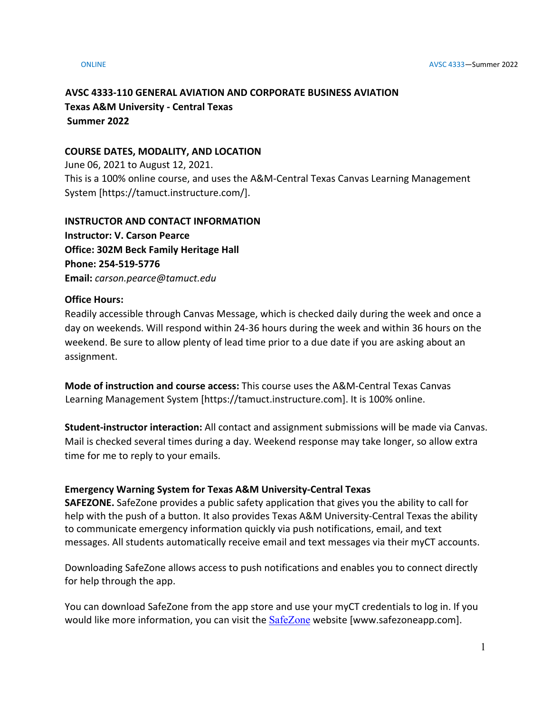# **AVSC 4333-110 GENERAL AVIATION AND CORPORATE BUSINESS AVIATION Texas A&M University - Central Texas Summer 2022**

# **COURSE DATES, MODALITY, AND LOCATION**

June 06, 2021 to August 12, 2021. This is a 100% online course, and uses the A&M-Central Texas Canvas Learning Management System [https://tamuct.instructure.com/].

## **INSTRUCTOR AND CONTACT INFORMATION Instructor: V. Carson Pearce**

**Office: 302M Beck Family Heritage Hall Phone: 254-519-5776 Email:** *carson.pearce@tamuct.edu*

## **Office Hours:**

Readily accessible through Canvas Message, which is checked daily during the week and once a day on weekends. Will respond within 24-36 hours during the week and within 36 hours on the weekend. Be sure to allow plenty of lead time prior to a due date if you are asking about an assignment.

**Mode of instruction and course access:** This course uses the A&M-Central Texas Canvas Learning Management System [https://tamuct.instructure.com]. It is 100% online.

**Student-instructor interaction:** All contact and assignment submissions will be made via Canvas. Mail is checked several times during a day. Weekend response may take longer, so allow extra time for me to reply to your emails.

# **Emergency Warning System for Texas A&M University-Central Texas**

**SAFEZONE.** SafeZone provides a public safety application that gives you the ability to call for help with the push of a button. It also provides Texas A&M University-Central Texas the ability to communicate emergency information quickly via push notifications, email, and text messages. All students automatically receive email and text messages via their myCT accounts.

Downloading SafeZone allows access to push notifications and enables you to connect directly for help through the app.

You can download SafeZone from the app store and use your myCT credentials to log in. If you would like more information, you can visit the **[SafeZone](https://nam04.safelinks.protection.outlook.com/?url=http%3A%2F%2Fwww.safezoneapp.com%2F&data=04%7C01%7Ccarson.pearce%40tamuct.edu%7C36042fab4fc7434c090008d9c3cb353b%7C9eed4e3000f744849ff193ad8005acec%7C0%7C0%7C637756100428183868%7CUnknown%7CTWFpbGZsb3d8eyJWIjoiMC4wLjAwMDAiLCJQIjoiV2luMzIiLCJBTiI6Ik1haWwiLCJXVCI6Mn0%3D%7C3000&sdata=M9GtdIRPIWaqAL85MChHRNMQgb%2FnvmJdfyjR%2BUN19pk%3D&reserved=0)** website [www.safezoneapp.com].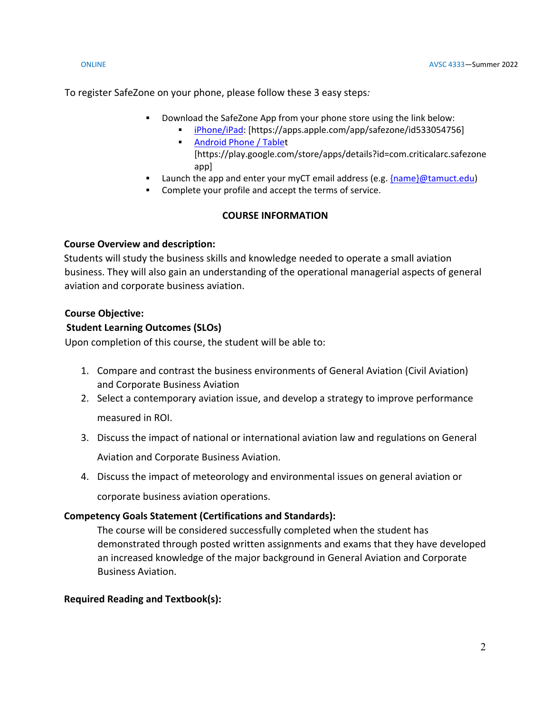To register SafeZone on your phone, please follow these 3 easy steps*:*

- Download the SafeZone App from your phone store using the link below:
	- [iPhone/iPad:](https://nam04.safelinks.protection.outlook.com/?url=https%3A%2F%2Fapps.apple.com%2Fapp%2Fsafezone%2Fid533054756&data=04%7C01%7Ccarson.pearce%40tamuct.edu%7C36042fab4fc7434c090008d9c3cb353b%7C9eed4e3000f744849ff193ad8005acec%7C0%7C0%7C637756100428183868%7CUnknown%7CTWFpbGZsb3d8eyJWIjoiMC4wLjAwMDAiLCJQIjoiV2luMzIiLCJBTiI6Ik1haWwiLCJXVCI6Mn0%3D%7C3000&sdata=vPQVTvekmuTQkNF6pF73JFVExrbMKfheHZ%2BjyIbHOvY%3D&reserved=0) [https://apps.apple.com/app/safezone/id533054756] **[Android Phone / Tablet](https://nam04.safelinks.protection.outlook.com/?url=https%3A%2F%2Fplay.google.com%2Fstore%2Fapps%2Fdetails%3Fid%3Dcom.criticalarc.safezoneapp&data=04%7C01%7Ccarson.pearce%40tamuct.edu%7C36042fab4fc7434c090008d9c3cb353b%7C9eed4e3000f744849ff193ad8005acec%7C0%7C0%7C637756100428183868%7CUnknown%7CTWFpbGZsb3d8eyJWIjoiMC4wLjAwMDAiLCJQIjoiV2luMzIiLCJBTiI6Ik1haWwiLCJXVCI6Mn0%3D%7C3000&sdata=HL5WG7P5ZCWthKyES6ag8naBQllFHtelfPV4m6jfPYg%3D&reserved=0)** [https://play.google.com/store/apps/details?id=com.criticalarc.safezone
	- app]
- Launch the app and enter your myCT email address (e.g. [{name}@tamuct.edu\)](mailto:%7bname%7d@tamuct.edu)
- Complete your profile and accept the terms of service.

# **COURSE INFORMATION**

# **Course Overview and description:**

Students will study the business skills and knowledge needed to operate a small aviation business. They will also gain an understanding of the operational managerial aspects of general aviation and corporate business aviation.

# **Course Objective:**

# **Student Learning Outcomes (SLOs)**

Upon completion of this course, the student will be able to:

- 1. Compare and contrast the business environments of General Aviation (Civil Aviation) and Corporate Business Aviation
- 2. Select a contemporary aviation issue, and develop a strategy to improve performance measured in ROI.
- 3. Discuss the impact of national or international aviation law and regulations on General Aviation and Corporate Business Aviation.
- 4. Discuss the impact of meteorology and environmental issues on general aviation or

corporate business aviation operations.

# **Competency Goals Statement (Certifications and Standards):**

The course will be considered successfully completed when the student has demonstrated through posted written assignments and exams that they have developed an increased knowledge of the major background in General Aviation and Corporate Business Aviation.

# **Required Reading and Textbook(s):**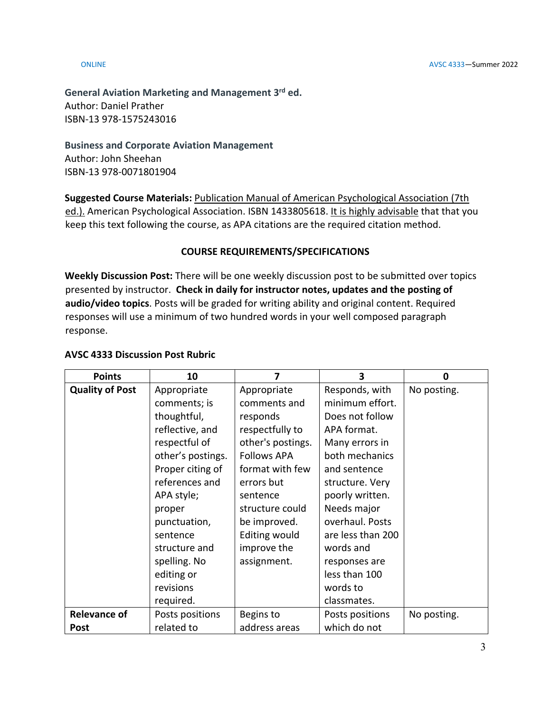**General Aviation Marketing and Management 3rd ed.** Author: Daniel Prather ISBN-13 978-1575243016

**Business and Corporate Aviation Management** Author: John Sheehan ISBN-13 978-0071801904

**Suggested Course Materials:** Publication Manual of American Psychological Association (7th ed.). American Psychological Association. ISBN 1433805618. It is highly advisable that that you keep this text following the course, as APA citations are the required citation method.

# **COURSE REQUIREMENTS/SPECIFICATIONS**

**Weekly Discussion Post:** There will be one weekly discussion post to be submitted over topics presented by instructor. **Check in daily for instructor notes, updates and the posting of audio/video topics**. Posts will be graded for writing ability and original content. Required responses will use a minimum of two hundred words in your well composed paragraph response.

## **AVSC 4333 Discussion Post Rubric**

| <b>Points</b>          | 10                |                      | 3                 | 0           |
|------------------------|-------------------|----------------------|-------------------|-------------|
| <b>Quality of Post</b> | Appropriate       | Appropriate          | Responds, with    | No posting. |
|                        | comments; is      | comments and         | minimum effort.   |             |
|                        | thoughtful,       | responds             | Does not follow   |             |
|                        | reflective, and   | respectfully to      | APA format.       |             |
|                        | respectful of     | other's postings.    | Many errors in    |             |
|                        | other's postings. | <b>Follows APA</b>   | both mechanics    |             |
|                        | Proper citing of  | format with few      | and sentence      |             |
|                        | references and    | errors but           | structure. Very   |             |
|                        | APA style;        | sentence             | poorly written.   |             |
|                        | proper            | structure could      | Needs major       |             |
|                        | punctuation,      | be improved.         | overhaul. Posts   |             |
|                        | sentence          | <b>Editing would</b> | are less than 200 |             |
|                        | structure and     | improve the          | words and         |             |
|                        | spelling. No      | assignment.          | responses are     |             |
|                        | editing or        |                      | less than 100     |             |
|                        | revisions         |                      | words to          |             |
|                        | required.         |                      | classmates.       |             |
| <b>Relevance of</b>    | Posts positions   | Begins to            | Posts positions   | No posting. |
| <b>Post</b>            | related to        | address areas        | which do not      |             |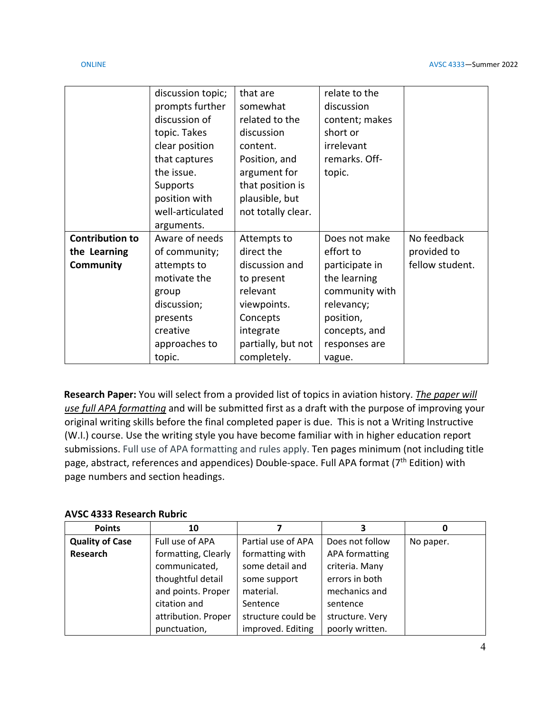|                        | discussion topic; | that are           | relate to the  |                 |
|------------------------|-------------------|--------------------|----------------|-----------------|
|                        | prompts further   | somewhat           | discussion     |                 |
|                        | discussion of     | related to the     | content; makes |                 |
|                        | topic. Takes      | discussion         | short or       |                 |
|                        | clear position    | content.           | irrelevant     |                 |
|                        | that captures     | Position, and      | remarks. Off-  |                 |
|                        | the issue.        | argument for       | topic.         |                 |
|                        | Supports          | that position is   |                |                 |
|                        | position with     | plausible, but     |                |                 |
|                        | well-articulated  | not totally clear. |                |                 |
|                        | arguments.        |                    |                |                 |
| <b>Contribution to</b> | Aware of needs    | Attempts to        | Does not make  | No feedback     |
| the Learning           | of community;     | direct the         | effort to      | provided to     |
| <b>Community</b>       | attempts to       | discussion and     | participate in | fellow student. |
|                        | motivate the      | to present         | the learning   |                 |
|                        | group             | relevant           | community with |                 |
|                        | discussion;       | viewpoints.        | relevancy;     |                 |
|                        | presents          | Concepts           | position,      |                 |
|                        | creative          | integrate          | concepts, and  |                 |
|                        | approaches to     | partially, but not | responses are  |                 |
|                        | topic.            | completely.        | vague.         |                 |

**Research Paper:** You will select from a provided list of topics in aviation history. *The paper will use full APA formatting* and will be submitted first as a draft with the purpose of improving your original writing skills before the final completed paper is due. This is not a Writing Instructive (W.I.) course. Use the writing style you have become familiar with in higher education report submissions. Full use of APA formatting and rules apply. Ten pages minimum (not including title page, abstract, references and appendices) Double-space. Full APA format (7<sup>th</sup> Edition) with page numbers and section headings.

# **AVSC 4333 Research Rubric**

| <b>Points</b>          | 10                  |                    |                       | O         |
|------------------------|---------------------|--------------------|-----------------------|-----------|
| <b>Quality of Case</b> | Full use of APA     | Partial use of APA | Does not follow       | No paper. |
| Research               | formatting, Clearly | formatting with    | <b>APA formatting</b> |           |
|                        | communicated,       | some detail and    | criteria. Many        |           |
|                        | thoughtful detail   | some support       | errors in both        |           |
|                        | and points. Proper  | material.          | mechanics and         |           |
|                        | citation and        | Sentence           | sentence              |           |
|                        | attribution. Proper | structure could be | structure. Very       |           |
|                        | punctuation,        | improved. Editing  | poorly written.       |           |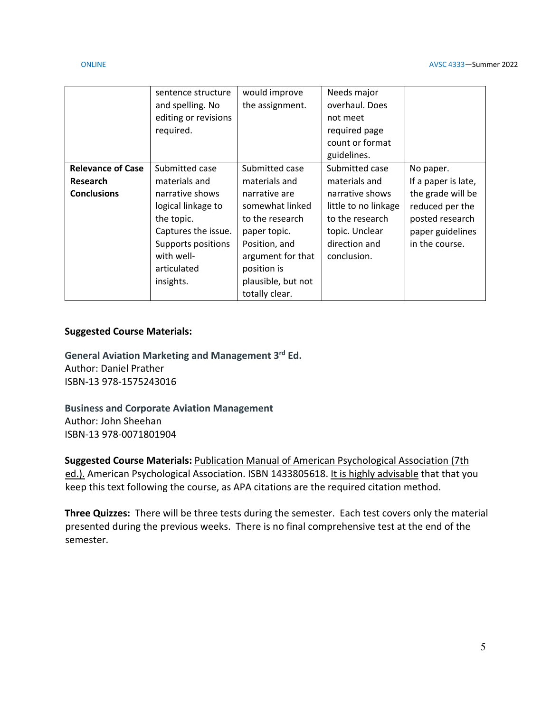|                          | sentence structure<br>and spelling. No<br>editing or revisions<br>required. | would improve<br>the assignment. | Needs major<br>overhaul. Does<br>not meet<br>required page<br>count or format<br>guidelines. |                     |
|--------------------------|-----------------------------------------------------------------------------|----------------------------------|----------------------------------------------------------------------------------------------|---------------------|
| <b>Relevance of Case</b> | Submitted case                                                              | Submitted case                   | Submitted case                                                                               | No paper.           |
| <b>Research</b>          | materials and                                                               | materials and                    | materials and                                                                                | If a paper is late, |
| <b>Conclusions</b>       | narrative shows                                                             | narrative are                    | narrative shows                                                                              | the grade will be   |
|                          | logical linkage to                                                          | somewhat linked                  | little to no linkage                                                                         | reduced per the     |
|                          | the topic.                                                                  | to the research                  | to the research                                                                              | posted research     |
|                          | Captures the issue.                                                         | paper topic.                     | topic. Unclear                                                                               | paper guidelines    |
|                          | Supports positions                                                          | Position, and                    | direction and                                                                                | in the course.      |
|                          | with well-                                                                  | argument for that                | conclusion.                                                                                  |                     |
|                          | articulated                                                                 | position is                      |                                                                                              |                     |
|                          | insights.                                                                   | plausible, but not               |                                                                                              |                     |
|                          |                                                                             | totally clear.                   |                                                                                              |                     |

## **Suggested Course Materials:**

**General Aviation Marketing and Management 3rd Ed.** Author: Daniel Prather ISBN-13 978-1575243016

**Business and Corporate Aviation Management** Author: John Sheehan ISBN-13 978-0071801904

**Suggested Course Materials:** Publication Manual of American Psychological Association (7th ed.). American Psychological Association. ISBN 1433805618. It is highly advisable that that you keep this text following the course, as APA citations are the required citation method.

**Three Quizzes:** There will be three tests during the semester. Each test covers only the material presented during the previous weeks. There is no final comprehensive test at the end of the semester.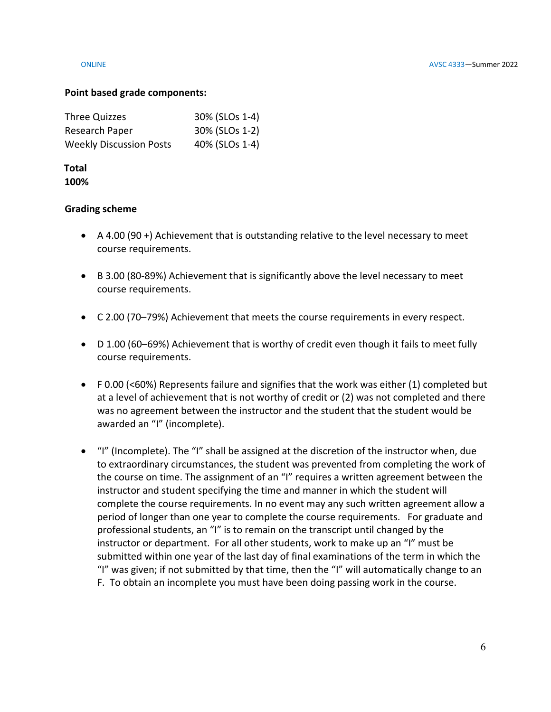### **Point based grade components:**

| Three Quizzes                  | 30% (SLOs 1-4) |
|--------------------------------|----------------|
| Research Paper                 | 30% (SLOs 1-2) |
| <b>Weekly Discussion Posts</b> | 40% (SLOs 1-4) |

## **Total 100%**

## **Grading scheme**

- A 4.00 (90 +) Achievement that is outstanding relative to the level necessary to meet course requirements.
- B 3.00 (80-89%) Achievement that is significantly above the level necessary to meet course requirements.
- C 2.00 (70–79%) Achievement that meets the course requirements in every respect.
- D 1.00 (60–69%) Achievement that is worthy of credit even though it fails to meet fully course requirements.
- F 0.00 (<60%) Represents failure and signifies that the work was either (1) completed but at a level of achievement that is not worthy of credit or (2) was not completed and there was no agreement between the instructor and the student that the student would be awarded an "I" (incomplete).
- "I" (Incomplete). The "I" shall be assigned at the discretion of the instructor when, due to extraordinary circumstances, the student was prevented from completing the work of the course on time. The assignment of an "I" requires a written agreement between the instructor and student specifying the time and manner in which the student will complete the course requirements. In no event may any such written agreement allow a period of longer than one year to complete the course requirements. For graduate and professional students, an "I" is to remain on the transcript until changed by the instructor or department. For all other students, work to make up an "I" must be submitted within one year of the last day of final examinations of the term in which the "I" was given; if not submitted by that time, then the "I" will automatically change to an F. To obtain an incomplete you must have been doing passing work in the course.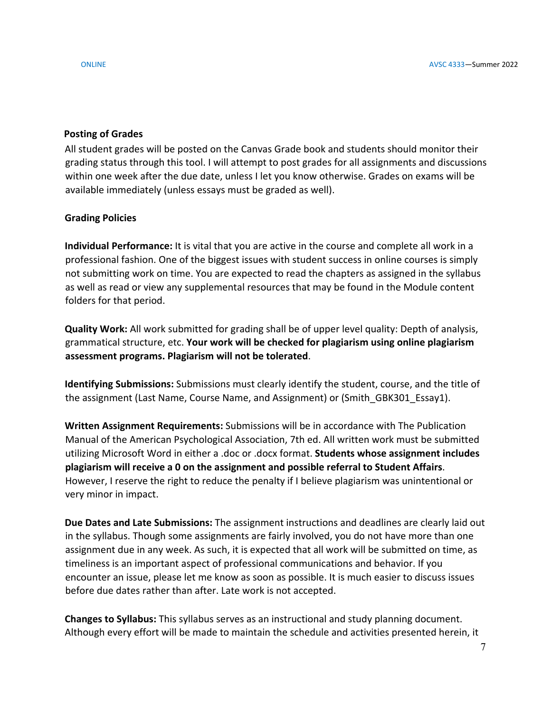## **Posting of Grades**

All student grades will be posted on the Canvas Grade book and students should monitor their grading status through this tool. I will attempt to post grades for all assignments and discussions within one week after the due date, unless I let you know otherwise. Grades on exams will be available immediately (unless essays must be graded as well).

# **Grading Policies**

**Individual Performance:** It is vital that you are active in the course and complete all work in a professional fashion. One of the biggest issues with student success in online courses is simply not submitting work on time. You are expected to read the chapters as assigned in the syllabus as well as read or view any supplemental resources that may be found in the Module content folders for that period.

**Quality Work:** All work submitted for grading shall be of upper level quality: Depth of analysis, grammatical structure, etc. **Your work will be checked for plagiarism using online plagiarism assessment programs. Plagiarism will not be tolerated**.

**Identifying Submissions:** Submissions must clearly identify the student, course, and the title of the assignment (Last Name, Course Name, and Assignment) or (Smith GBK301 Essay1).

**Written Assignment Requirements:** Submissions will be in accordance with The Publication Manual of the American Psychological Association, 7th ed. All written work must be submitted utilizing Microsoft Word in either a .doc or .docx format. **Students whose assignment includes plagiarism will receive a 0 on the assignment and possible referral to Student Affairs**. However, I reserve the right to reduce the penalty if I believe plagiarism was unintentional or very minor in impact.

**Due Dates and Late Submissions:** The assignment instructions and deadlines are clearly laid out in the syllabus. Though some assignments are fairly involved, you do not have more than one assignment due in any week. As such, it is expected that all work will be submitted on time, as timeliness is an important aspect of professional communications and behavior. If you encounter an issue, please let me know as soon as possible. It is much easier to discuss issues before due dates rather than after. Late work is not accepted.

**Changes to Syllabus:** This syllabus serves as an instructional and study planning document. Although every effort will be made to maintain the schedule and activities presented herein, it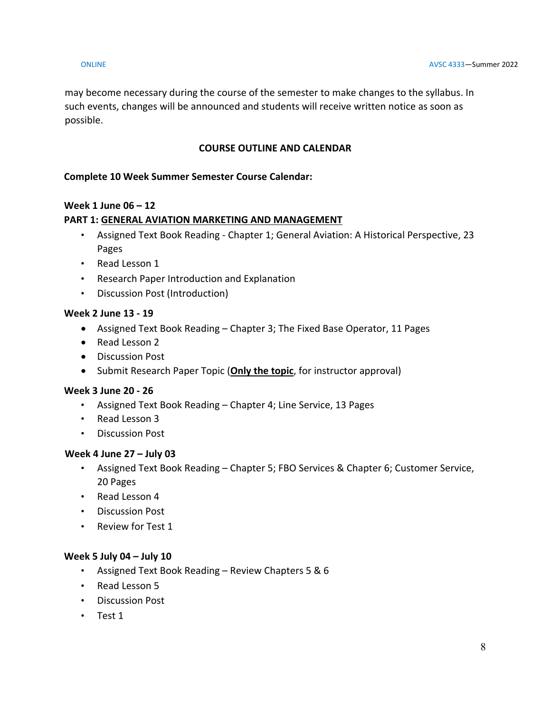may become necessary during the course of the semester to make changes to the syllabus. In such events, changes will be announced and students will receive written notice as soon as possible.

# **COURSE OUTLINE AND CALENDAR**

# **Complete 10 Week Summer Semester Course Calendar:**

# **Week 1 June 06 – 12**

# **PART 1: GENERAL AVIATION MARKETING AND MANAGEMENT**

- Assigned Text Book Reading Chapter 1; General Aviation: A Historical Perspective, 23 Pages
- Read Lesson 1
- Research Paper Introduction and Explanation
- Discussion Post (Introduction)

# **Week 2 June 13 - 19**

- Assigned Text Book Reading Chapter 3; The Fixed Base Operator, 11 Pages
- Read Lesson 2
- Discussion Post
- Submit Research Paper Topic (**Only the topic**, for instructor approval)

## **Week 3 June 20 - 26**

- Assigned Text Book Reading Chapter 4; Line Service, 13 Pages
- Read Lesson 3
- Discussion Post

## **Week 4 June 27 – July 03**

- Assigned Text Book Reading Chapter 5; FBO Services & Chapter 6; Customer Service, 20 Pages
- Read Lesson 4
- Discussion Post
- Review for Test 1

## **Week 5 July 04 – July 10**

- Assigned Text Book Reading Review Chapters 5 & 6
- Read Lesson 5
- Discussion Post
- Test 1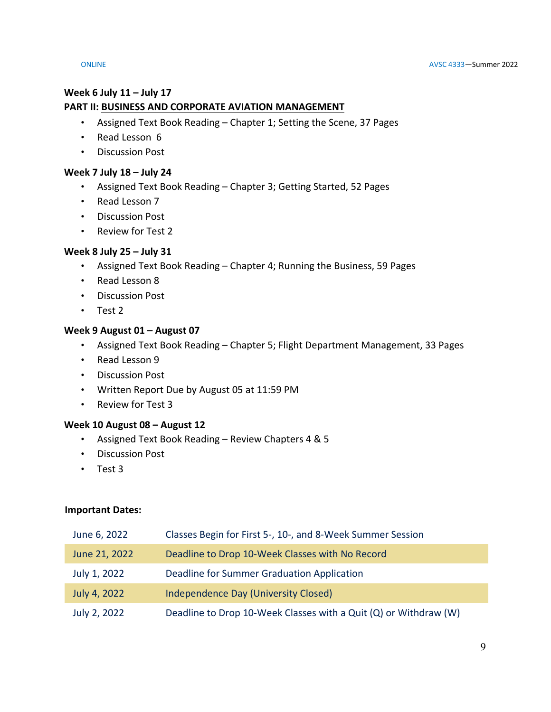# **Week 6 July 11 – July 17 PART II: BUSINESS AND CORPORATE AVIATION MANAGEMENT**

- Assigned Text Book Reading Chapter 1; Setting the Scene, 37 Pages
- Read Lesson 6
- Discussion Post

## **Week 7 July 18 – July 24**

- Assigned Text Book Reading Chapter 3; Getting Started, 52 Pages
- Read Lesson 7
- Discussion Post
- Review for Test 2

## **Week 8 July 25 – July 31**

- Assigned Text Book Reading Chapter 4; Running the Business, 59 Pages
- Read Lesson 8
- Discussion Post
- Test 2

# **Week 9 August 01 – August 07**

- Assigned Text Book Reading Chapter 5; Flight Department Management, 33 Pages
- Read Lesson 9
- Discussion Post
- Written Report Due by August 05 at 11:59 PM
- Review for Test 3

## **Week 10 August 08 – August 12**

- Assigned Text Book Reading Review Chapters 4 & 5
- Discussion Post
- Test 3

## **Important Dates:**

| June 6, 2022  | Classes Begin for First 5-, 10-, and 8-Week Summer Session       |
|---------------|------------------------------------------------------------------|
| June 21, 2022 | Deadline to Drop 10-Week Classes with No Record                  |
| July 1, 2022  | Deadline for Summer Graduation Application                       |
| July 4, 2022  | Independence Day (University Closed)                             |
| July 2, 2022  | Deadline to Drop 10-Week Classes with a Quit (Q) or Withdraw (W) |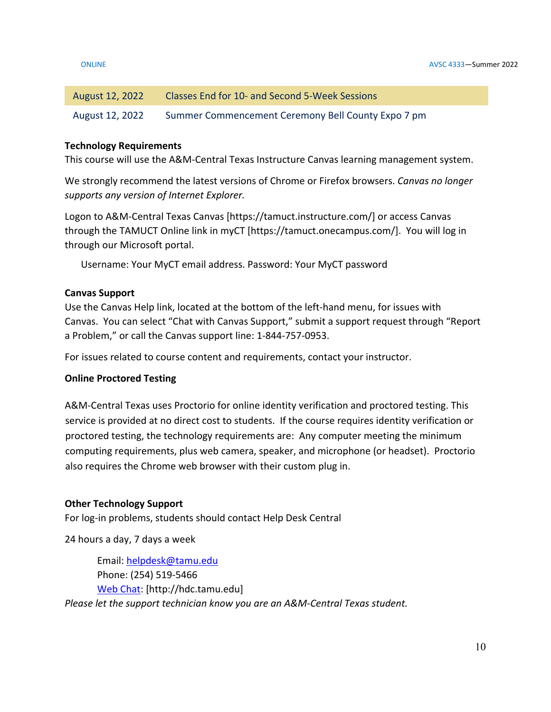| August 12, 2022 | Classes End for 10- and Second 5-Week Sessions     |
|-----------------|----------------------------------------------------|
| August 12, 2022 | Summer Commencement Ceremony Bell County Expo 7 pm |

## **Technology Requirements**

This course will use the A&M-Central Texas Instructure Canvas learning management system.

We strongly recommend the latest versions of Chrome or Firefox browsers. *Canvas no longer supports any version of Internet Explorer.*

Logon to A&M-Central Texas Canvas [https://tamuct.instructure.com/] or access Canvas through the TAMUCT Online link in myCT [https://tamuct.onecampus.com/]. You will log in through our Microsoft portal.

Username: Your MyCT email address. Password: Your MyCT password

## **Canvas Support**

Use the Canvas Help link, located at the bottom of the left-hand menu, for issues with Canvas. You can select "Chat with Canvas Support," submit a support request through "Report a Problem," or call the Canvas support line: 1-844-757-0953.

For issues related to course content and requirements, contact your instructor.

# **Online Proctored Testing**

A&M-Central Texas uses Proctorio for online identity verification and proctored testing. This service is provided at no direct cost to students. If the course requires identity verification or proctored testing, the technology requirements are: Any computer meeting the minimum computing requirements, plus web camera, speaker, and microphone (or headset). Proctorio also requires the Chrome web browser with their custom plug in.

## **Other Technology Support**

For log-in problems, students should contact Help Desk Central

24 hours a day, 7 days a week

Email: [helpdesk@tamu.edu](mailto:helpdesk@tamu.edu) Phone: (254) 519-5466 [Web Chat:](http://hdc.tamu.edu/) [http://hdc.tamu.edu] *Please let the support technician know you are an A&M-Central Texas student.*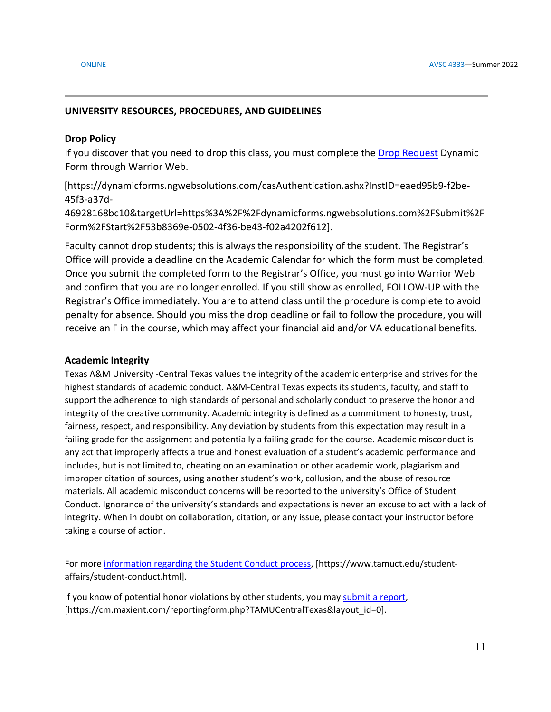## **UNIVERSITY RESOURCES, PROCEDURES, AND GUIDELINES**

## **Drop Policy**

If you discover that you need to drop this class, you must complete the [Drop Request](https://dynamicforms.ngwebsolutions.com/casAuthentication.ashx?InstID=eaed95b9-f2be-45f3-a37d-46928168bc10&targetUrl=https%3A%2F%2Fdynamicforms.ngwebsolutions.com%2FSubmit%2FForm%2FStart%2F53b8369e-0502-4f36-be43-f02a4202f612) Dynamic Form through Warrior Web.

[https://dynamicforms.ngwebsolutions.com/casAuthentication.ashx?InstID=eaed95b9-f2be-45f3-a37d-

46928168bc10&targetUrl=https%3A%2F%2Fdynamicforms.ngwebsolutions.com%2FSubmit%2F Form%2FStart%2F53b8369e-0502-4f36-be43-f02a4202f612].

Faculty cannot drop students; this is always the responsibility of the student. The Registrar's Office will provide a deadline on the Academic Calendar for which the form must be completed. Once you submit the completed form to the Registrar's Office, you must go into Warrior Web and confirm that you are no longer enrolled. If you still show as enrolled, FOLLOW-UP with the Registrar's Office immediately. You are to attend class until the procedure is complete to avoid penalty for absence. Should you miss the drop deadline or fail to follow the procedure, you will receive an F in the course, which may affect your financial aid and/or VA educational benefits.

## **Academic Integrity**

Texas A&M University -Central Texas values the integrity of the academic enterprise and strives for the highest standards of academic conduct. A&M-Central Texas expects its students, faculty, and staff to support the adherence to high standards of personal and scholarly conduct to preserve the honor and integrity of the creative community. Academic integrity is defined as a commitment to honesty, trust, fairness, respect, and responsibility. Any deviation by students from this expectation may result in a failing grade for the assignment and potentially a failing grade for the course. Academic misconduct is any act that improperly affects a true and honest evaluation of a student's academic performance and includes, but is not limited to, cheating on an examination or other academic work, plagiarism and improper citation of sources, using another student's work, collusion, and the abuse of resource materials. All academic misconduct concerns will be reported to the university's Office of Student Conduct. Ignorance of the university's standards and expectations is never an excuse to act with a lack of integrity. When in doubt on collaboration, citation, or any issue, please contact your instructor before taking a course of action.

For mor[e information regarding the Student Conduct process,](https://www.tamuct.edu/student-affairs/student-conduct.html) [https://www.tamuct.edu/studentaffairs/student-conduct.html].

If you know of potential honor violations by other students, you may [submit a report,](https://cm.maxient.com/reportingform.php?TAMUCentralTexas&layout_id=0) [https://cm.maxient.com/reportingform.php?TAMUCentralTexas&layout\_id=0].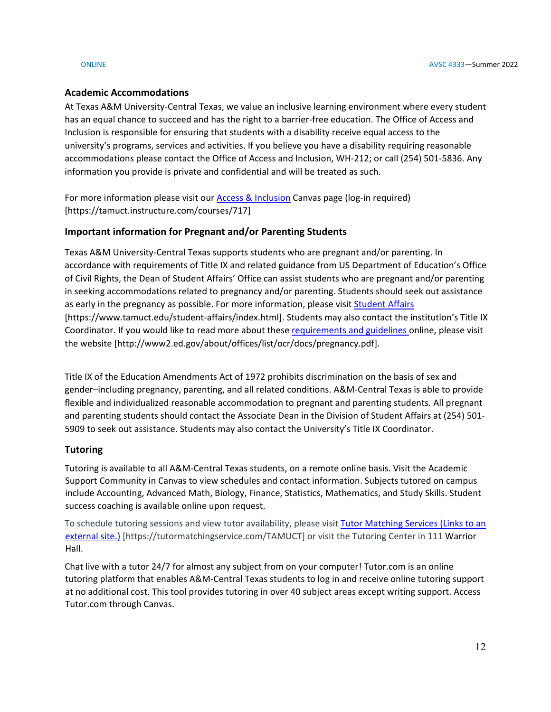## **Academic Accommodations**

At Texas A&M University-Central Texas, we value an inclusive learning environment where every student has an equal chance to succeed and has the right to a barrier-free education. The Office of Access and Inclusion is responsible for ensuring that students with a disability receive equal access to the university's programs, services and activities. If you believe you have a disability requiring reasonable accommodations please contact the Office of Access and Inclusion, WH-212; or call (254) 501-5836. Any information you provide is private and confidential and will be treated as such.

For more information please visit our [Access & Inclusion](https://tamuct.instructure.com/courses/717) Canvas page (log-in required) [https://tamuct.instructure.com/courses/717]

## **Important information for Pregnant and/or Parenting Students**

Texas A&M University-Central Texas supports students who are pregnant and/or parenting. In accordance with requirements of Title IX and related guidance from US Department of Education's Office of Civil Rights, the Dean of Student Affairs' Office can assist students who are pregnant and/or parenting in seeking accommodations related to pregnancy and/or parenting. Students should seek out assistance as early in the pregnancy as possible. For more information, please visi[t Student Affairs](https://www.tamuct.edu/student-affairs/index.html) [https://www.tamuct.edu/student-affairs/index.html]. Students may also contact the institution's Title IX Coordinator. If you would like to read more about these [requirements and guidelines](http://www2.ed.gov/about/offices/list/ocr/docs/pregnancy.pdf) online, please visit the website [http://www2.ed.gov/about/offices/list/ocr/docs/pregnancy.pdf].

Title IX of the Education Amendments Act of 1972 prohibits discrimination on the basis of sex and gender–including pregnancy, parenting, and all related conditions. A&M-Central Texas is able to provide flexible and individualized reasonable accommodation to pregnant and parenting students. All pregnant and parenting students should contact the Associate Dean in the Division of Student Affairs at (254) 501- 5909 to seek out assistance. Students may also contact the University's Title IX Coordinator.

# **Tutoring**

Tutoring is available to all A&M-Central Texas students, on a remote online basis. Visit the Academic Support Community in Canvas to view schedules and contact information. Subjects tutored on campus include Accounting, Advanced Math, Biology, Finance, Statistics, Mathematics, and Study Skills. Student success coaching is available online upon request.

To schedule tutoring sessions and view tutor availability, please visit [Tutor Matching Services](https://tutormatchingservice.com/TAMUCT) (Links to an [external](https://tutormatchingservice.com/TAMUCT) site.) [https://tutormatchingservice.com/TAMUCT] or visit the Tutoring Center in 111 Warrior Hall.

Chat live with a tutor 24/7 for almost any subject from on your computer! Tutor.com is an online tutoring platform that enables A&M-Central Texas students to log in and receive online tutoring support at no additional cost. This tool provides tutoring in over 40 subject areas except writing support. Access Tutor.com through Canvas.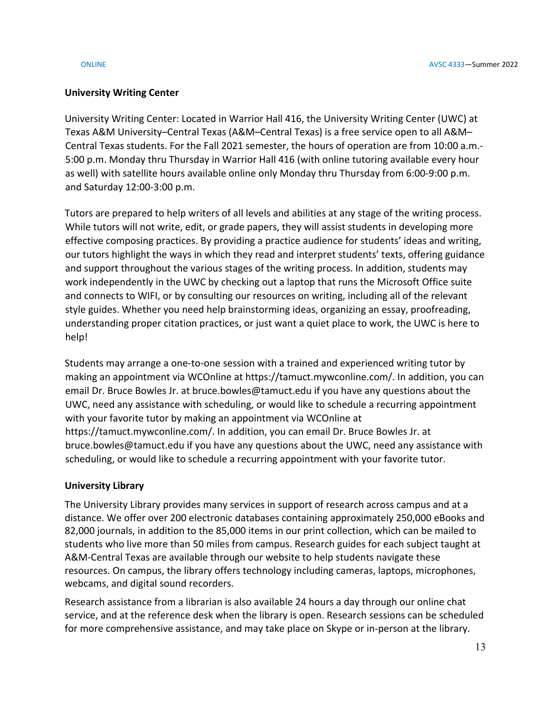# **University Writing Center**

University Writing Center: Located in Warrior Hall 416, the University Writing Center (UWC) at Texas A&M University–Central Texas (A&M–Central Texas) is a free service open to all A&M– Central Texas students. For the Fall 2021 semester, the hours of operation are from 10:00 a.m.- 5:00 p.m. Monday thru Thursday in Warrior Hall 416 (with online tutoring available every hour as well) with satellite hours available online only Monday thru Thursday from 6:00-9:00 p.m. and Saturday 12:00-3:00 p.m.

Tutors are prepared to help writers of all levels and abilities at any stage of the writing process. While tutors will not write, edit, or grade papers, they will assist students in developing more effective composing practices. By providing a practice audience for students' ideas and writing, our tutors highlight the ways in which they read and interpret students' texts, offering guidance and support throughout the various stages of the writing process. In addition, students may work independently in the UWC by checking out a laptop that runs the Microsoft Office suite and connects to WIFI, or by consulting our resources on writing, including all of the relevant style guides. Whether you need help brainstorming ideas, organizing an essay, proofreading, understanding proper citation practices, or just want a quiet place to work, the UWC is here to help!

Students may arrange a one-to-one session with a trained and experienced writing tutor by making an appointment via WCOnline at https://tamuct.mywconline.com/. In addition, you can email Dr. Bruce Bowles Jr. at bruce.bowles@tamuct.edu if you have any questions about the UWC, need any assistance with scheduling, or would like to schedule a recurring appointment with your favorite tutor by making an appointment via WCOnline at https://tamuct.mywconline.com/. In addition, you can email Dr. Bruce Bowles Jr. at bruce.bowles@tamuct.edu if you have any questions about the UWC, need any assistance with scheduling, or would like to schedule a recurring appointment with your favorite tutor.

# **University Library**

The University Library provides many services in support of research across campus and at a distance. We offer over 200 electronic databases containing approximately 250,000 eBooks and 82,000 journals, in addition to the 85,000 items in our print collection, which can be mailed to students who live more than 50 miles from campus. Research guides for each subject taught at A&M-Central Texas are available through our website to help students navigate these resources. On campus, the library offers technology including cameras, laptops, microphones, webcams, and digital sound recorders.

Research assistance from a librarian is also available 24 hours a day through our online chat service, and at the reference desk when the library is open. Research sessions can be scheduled for more comprehensive assistance, and may take place on Skype or in-person at the library.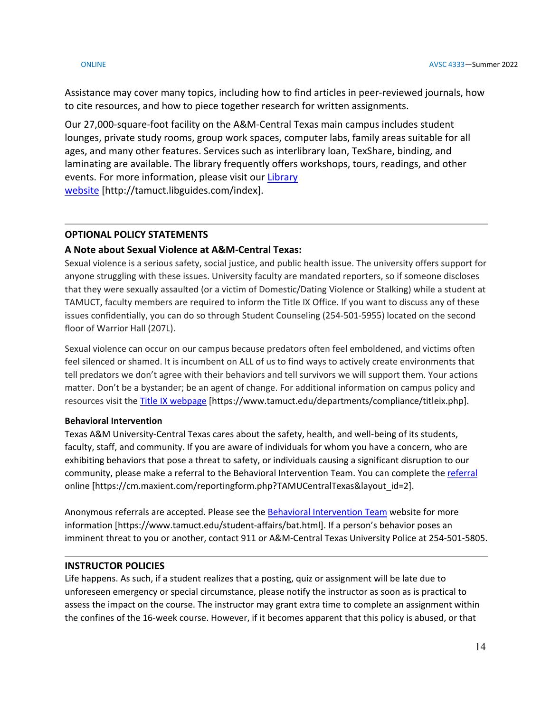Assistance may cover many topics, including how to find articles in peer-reviewed journals, how to cite resources, and how to piece together research for written assignments.

Our 27,000-square-foot facility on the A&M-Central Texas main campus includes student lounges, private study rooms, group work spaces, computer labs, family areas suitable for all ages, and many other features. Services such as interlibrary loan, TexShare, binding, and laminating are available. The library frequently offers workshops, tours, readings, and other events. For more information, please visit our [Library](https://tamuct.libguides.com/index) [website](https://tamuct.libguides.com/index) [http://tamuct.libguides.com/index].

### **OPTIONAL POLICY STATEMENTS**

### **A Note about Sexual Violence at A&M-Central Texas:**

Sexual violence is a serious safety, social justice, and public health issue. The university offers support for anyone struggling with these issues. University faculty are mandated reporters, so if someone discloses that they were sexually assaulted (or a victim of Domestic/Dating Violence or Stalking) while a student at TAMUCT, faculty members are required to inform the Title IX Office. If you want to discuss any of these issues confidentially, you can do so through Student Counseling (254-501-5955) located on the second floor of Warrior Hall (207L).

Sexual violence can occur on our campus because predators often feel emboldened, and victims often feel silenced or shamed. It is incumbent on ALL of us to find ways to actively create environments that tell predators we don't agree with their behaviors and tell survivors we will support them. Your actions matter. Don't be a bystander; be an agent of change. For additional information on campus policy and resources visit the [Title IX webpage](https://www.tamuct.edu/departments/compliance/titleix.php) [https://www.tamuct.edu/departments/compliance/titleix.php].

### **Behavioral Intervention**

Texas A&M University-Central Texas cares about the safety, health, and well-being of its students, faculty, staff, and community. If you are aware of individuals for whom you have a concern, who are exhibiting behaviors that pose a threat to safety, or individuals causing a significant disruption to our community, please make a referral to the Behavioral Intervention Team. You can complete the [referral](https://cm.maxient.com/reportingform.php?TAMUCentralTexas&layout_id=2) online [https://cm.maxient.com/reportingform.php?TAMUCentralTexas&layout\_id=2].

Anonymous referrals are accepted. Please see th[e Behavioral Intervention Team](https://www.tamuct.edu/student-affairs/bat.html) website for more information [https://www.tamuct.edu/student-affairs/bat.html]. If a person's behavior poses an imminent threat to you or another, contact 911 or A&M-Central Texas University Police at 254-501-5805.

### **INSTRUCTOR POLICIES**

Life happens. As such, if a student realizes that a posting, quiz or assignment will be late due to unforeseen emergency or special circumstance, please notify the instructor as soon as is practical to assess the impact on the course. The instructor may grant extra time to complete an assignment within the confines of the 16-week course. However, if it becomes apparent that this policy is abused, or that